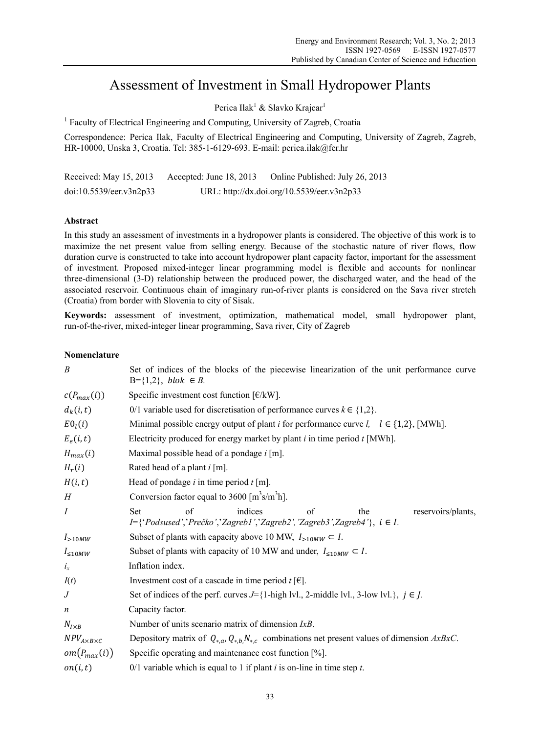# Assessment of Investment in Small Hydropower Plants

Perica Ilak<sup>1</sup> & Slavko Krajcar<sup>1</sup>

<sup>1</sup> Faculty of Electrical Engineering and Computing, University of Zagreb, Croatia

Correspondence: Perica Ilak, Faculty of Electrical Engineering and Computing, University of Zagreb, Zagreb, HR-10000, Unska 3, Croatia. Tel: 385-1-6129-693. E-mail: perica.ilak@fer.hr

| Received: May 15, 2013  | Accepted: June $18, 2013$ | Online Published: July 26, 2013            |
|-------------------------|---------------------------|--------------------------------------------|
| doi:10.5539/eer.v3n2p33 |                           | URL: http://dx.doi.org/10.5539/eer.v3n2p33 |

# **Abstract**

In this study an assessment of investments in a hydropower plants is considered. The objective of this work is to maximize the net present value from selling energy. Because of the stochastic nature of river flows, flow duration curve is constructed to take into account hydropower plant capacity factor, important for the assessment of investment. Proposed mixed-integer linear programming model is flexible and accounts for nonlinear three-dimensional (3-D) relationship between the produced power, the discharged water, and the head of the associated reservoir. Continuous chain of imaginary run-of-river plants is considered on the Sava river stretch (Croatia) from border with Slovenia to city of Sisak.

**Keywords:** assessment of investment, optimization, mathematical model, small hydropower plant, run-of-the-river, mixed-integer linear programming, Sava river, City of Zagreb

## **Nomenclature**

| B                         | Set of indices of the blocks of the piecewise linearization of the unit performance curve<br>$B = \{1,2\}$ , blok $\in B$ .               |  |  |  |  |  |  |
|---------------------------|-------------------------------------------------------------------------------------------------------------------------------------------|--|--|--|--|--|--|
| $c(P_{max}(i))$           | Specific investment cost function $\lceil \frac{\epsilon}{k} \mathbf{W} \rceil$ .                                                         |  |  |  |  |  |  |
| $d_k(i,t)$                | 0/1 variable used for discretisation of performance curves $k \in \{1,2\}$ .                                                              |  |  |  |  |  |  |
| E0 <sub>l</sub> (i)       | Minimal possible energy output of plant <i>i</i> for performance curve <i>l</i> , $l \in \{1,2\}$ , [MWh].                                |  |  |  |  |  |  |
| $E_e(i,t)$                | Electricity produced for energy market by plant $i$ in time period $t$ [MWh].                                                             |  |  |  |  |  |  |
| $H_{max}(i)$              | Maximal possible head of a pondage $i$ [m].                                                                                               |  |  |  |  |  |  |
| $H_r(i)$                  | Rated head of a plant i [m].                                                                                                              |  |  |  |  |  |  |
| H(i,t)                    | Head of pondage $i$ in time period $t$ [m].                                                                                               |  |  |  |  |  |  |
| H                         | Conversion factor equal to $3600 \, [\text{m}^3 \text{s/m}^3 \text{h}]$ .                                                                 |  |  |  |  |  |  |
| $\boldsymbol{I}$          | indices<br>of<br>$\alpha$ f<br>Set<br>reservoirs/plants,<br>the<br>I={'Podsused','Prečko','Zagreb1','Zagreb2','Zagreb3',Zagreb4'}, i ∈ I. |  |  |  |  |  |  |
| $I_{>10MW}$               | Subset of plants with capacity above 10 MW, $I_{>10MW} \subset I$ .                                                                       |  |  |  |  |  |  |
| $I_{\leq 10MW}$           | Subset of plants with capacity of 10 MW and under, $I_{\leq 10MW} \subset I$ .                                                            |  |  |  |  |  |  |
| $i_x$                     | Inflation index.                                                                                                                          |  |  |  |  |  |  |
| I(t)                      | Investment cost of a cascade in time period $t \in ]$ .                                                                                   |  |  |  |  |  |  |
| $\,$ J                    | Set of indices of the perf. curves $J = \{1\text{-high lvl.}, 2\text{-middle lvl.}, 3\text{-low lvl.}\}, j \in J.$                        |  |  |  |  |  |  |
| $\boldsymbol{n}$          | Capacity factor.                                                                                                                          |  |  |  |  |  |  |
| $N_{I\times B}$           | Number of units scenario matrix of dimension $IxB$ .                                                                                      |  |  |  |  |  |  |
| $NPV_{A\times B\times C}$ | Depository matrix of $Q_{*,a}, Q_{*,b}, N_{*,c}$ combinations net present values of dimension AxBxC.                                      |  |  |  |  |  |  |
| $om(P_{max}(i))$          | Specific operating and maintenance cost function [%].                                                                                     |  |  |  |  |  |  |
| on(i, t)                  | 0/1 variable which is equal to 1 if plant $i$ is on-line in time step $t$ .                                                               |  |  |  |  |  |  |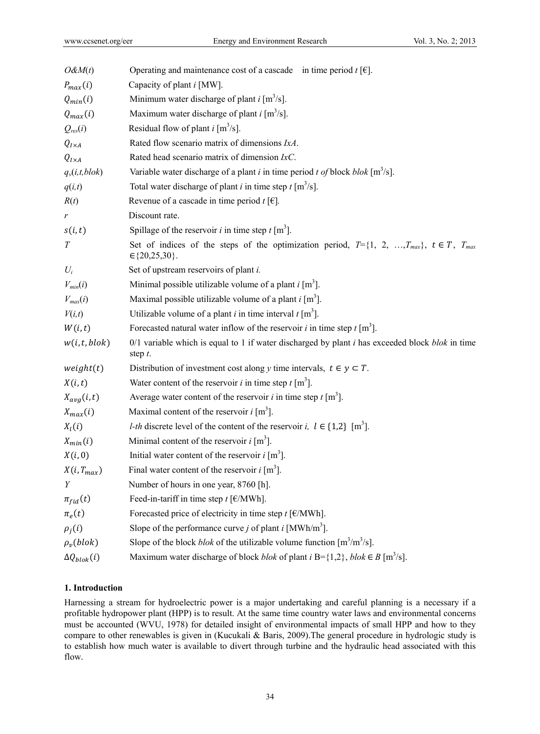| $O\&M(t)$             | Operating and maintenance cost of a cascade in time period $t$ [ $\epsilon$ ].                                           |
|-----------------------|--------------------------------------------------------------------------------------------------------------------------|
| $P_{max}(i)$          | Capacity of plant <i>i</i> [MW].                                                                                         |
| $Q_{min}(i)$          | Minimum water discharge of plant $i \text{ [m}^3/\text{s}]$ .                                                            |
| $Q_{max}(i)$          | Maximum water discharge of plant $i \, [\text{m}^3/\text{s}]$ .                                                          |
| $Q_{res}(i)$          | Residual flow of plant $i \text{ [m}^3/\text{s}]$ .                                                                      |
| $Q_{I\times A}$       | Rated flow scenario matrix of dimensions IxA.                                                                            |
| $Q_{I\times A}$       | Rated head scenario matrix of dimension $IxC$ .                                                                          |
| $q_v(i,t,blok)$       | Variable water discharge of a plant <i>i</i> in time period <i>t of</i> block <i>blok</i> [ $m^3/s$ ].                   |
| q(i,t)                | Total water discharge of plant <i>i</i> in time step $t \, [\text{m}^3/\text{s}]$ .                                      |
| R(t)                  | Revenue of a cascade in time period $t \in ]\in ]$ .                                                                     |
| r                     | Discount rate.                                                                                                           |
| s(i,t)                | Spillage of the reservoir <i>i</i> in time step $t \, [\text{m}^3]$ .                                                    |
| $\cal T$              | Set of indices of the steps of the optimization period, $T = \{1, 2, , T_{max}\}, t \in T, T_{max}$<br>$\in$ {20,25,30}. |
| $U_i$                 | Set of upstream reservoirs of plant <i>i</i> .                                                                           |
| $V_{min}(i)$          | Minimal possible utilizable volume of a plant $i \, [\text{m}^3]$ .                                                      |
| $V_{max}(i)$          | Maximal possible utilizable volume of a plant $i \, [\text{m}^3]$ .                                                      |
| V(i,t)                | Utilizable volume of a plant <i>i</i> in time interval $t \, [\text{m}^3]$ .                                             |
| W(i,t)                | Forecasted natural water inflow of the reservoir <i>i</i> in time step $t \, [\text{m}^3]$ .                             |
| w(i, t, blok)         | $0/1$ variable which is equal to 1 if water discharged by plant i has exceeded block blok in time<br>step $t$ .          |
| weight(t)             | Distribution of investment cost along y time intervals, $t \in y \subset T$ .                                            |
| X(i,t)                | Water content of the reservoir <i>i</i> in time step $t \, [\text{m}^3]$ .                                               |
| $X_{avg}(i, t)$       | Average water content of the reservoir <i>i</i> in time step $t \text{ [m}^3]$ .                                         |
| $X_{max}(i)$          | Maximal content of the reservoir $i \text{ [m}^3]$ .                                                                     |
| $X_l(i)$              | <i>l-th</i> discrete level of the content of the reservoir <i>i</i> , $l \in \{1,2\}$ [m <sup>3</sup> ].                 |
| $X_{min}(i)$          | Minimal content of the reservoir $i \text{ [m}^3]$ .                                                                     |
| X(i,0)                | Initial water content of the reservoir $i \text{ [m}^3]$ .                                                               |
| $X(i, T_{max})$       | Final water content of the reservoir $i \, [\text{m}^3]$                                                                 |
| Y                     | Number of hours in one year, 8760 [h].                                                                                   |
| $\pi_{fid}(t)$        | Feed-in-tariff in time step $t$ [ $\varepsilon/MWh$ ].                                                                   |
| $\pi_e(t)$            | Forecasted price of electricity in time step $t$ [ $\varepsilon$ /MWh].                                                  |
| $\rho_j(i)$           | Slope of the performance curve <i>j</i> of plant <i>i</i> [MWh/m <sup>3</sup> ].                                         |
| $\rho_v(blok)$        | Slope of the block <i>blok</i> of the utilizable volume function $[m^3/m^3/s]$ .                                         |
| $\Delta Q_{block}(i)$ | Maximum water discharge of block <i>blok</i> of plant $i \text{ B} = \{1,2\}$ , <i>blok</i> $\in B$ [m <sup>3</sup> /s]. |
|                       |                                                                                                                          |

# **1. Introduction**

Harnessing a stream for hydroelectric power is a major undertaking and careful planning is a necessary if a profitable hydropower plant (HPP) is to result. At the same time country water laws and environmental concerns must be accounted (WVU, 1978) for detailed insight of environmental impacts of small HPP and how to they compare to other renewables is given in (Kucukali & Baris, 2009).The general procedure in hydrologic study is to establish how much water is available to divert through turbine and the hydraulic head associated with this flow.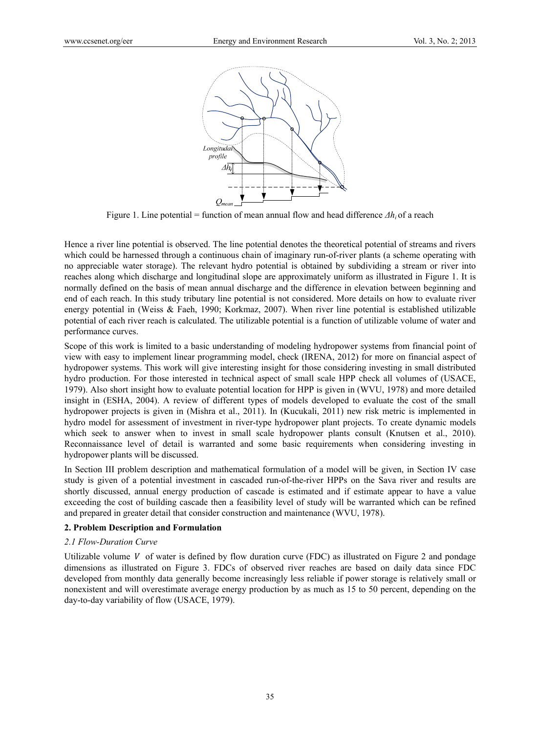

Figure 1. Line potential = function of mean annual flow and head difference *Δhi* of a reach

Hence a river line potential is observed. The line potential denotes the theoretical potential of streams and rivers which could be harnessed through a continuous chain of imaginary run-of-river plants (a scheme operating with no appreciable water storage). The relevant hydro potential is obtained by subdividing a stream or river into reaches along which discharge and longitudinal slope are approximately uniform as illustrated in Figure 1. It is normally defined on the basis of mean annual discharge and the difference in elevation between beginning and end of each reach. In this study tributary line potential is not considered. More details on how to evaluate river energy potential in (Weiss & Faeh, 1990; Korkmaz, 2007). When river line potential is established utilizable potential of each river reach is calculated. The utilizable potential is a function of utilizable volume of water and performance curves.

Scope of this work is limited to a basic understanding of modeling hydropower systems from financial point of view with easy to implement linear programming model, check (IRENA, 2012) for more on financial aspect of hydropower systems. This work will give interesting insight for those considering investing in small distributed hydro production. For those interested in technical aspect of small scale HPP check all volumes of (USACE, 1979). Also short insight how to evaluate potential location for HPP is given in (WVU, 1978) and more detailed insight in (ESHA, 2004). A review of different types of models developed to evaluate the cost of the small hydropower projects is given in (Mishra et al., 2011). In (Kucukali, 2011) new risk metric is implemented in hydro model for assessment of investment in river-type hydropower plant projects. To create dynamic models which seek to answer when to invest in small scale hydropower plants consult (Knutsen et al., 2010). Reconnaissance level of detail is warranted and some basic requirements when considering investing in hydropower plants will be discussed.

In Section III problem description and mathematical formulation of a model will be given, in Section IV case study is given of a potential investment in cascaded run-of-the-river HPPs on the Sava river and results are shortly discussed, annual energy production of cascade is estimated and if estimate appear to have a value exceeding the cost of building cascade then a feasibility level of study will be warranted which can be refined and prepared in greater detail that consider construction and maintenance (WVU, 1978).

## **2. Problem Description and Formulation**

## *2.1 Flow-Duration Curve*

Utilizable volume  $V$  of water is defined by flow duration curve (FDC) as illustrated on Figure 2 and pondage dimensions as illustrated on Figure 3. FDCs of observed river reaches are based on daily data since FDC developed from monthly data generally become increasingly less reliable if power storage is relatively small or nonexistent and will overestimate average energy production by as much as 15 to 50 percent, depending on the day-to-day variability of flow (USACE, 1979).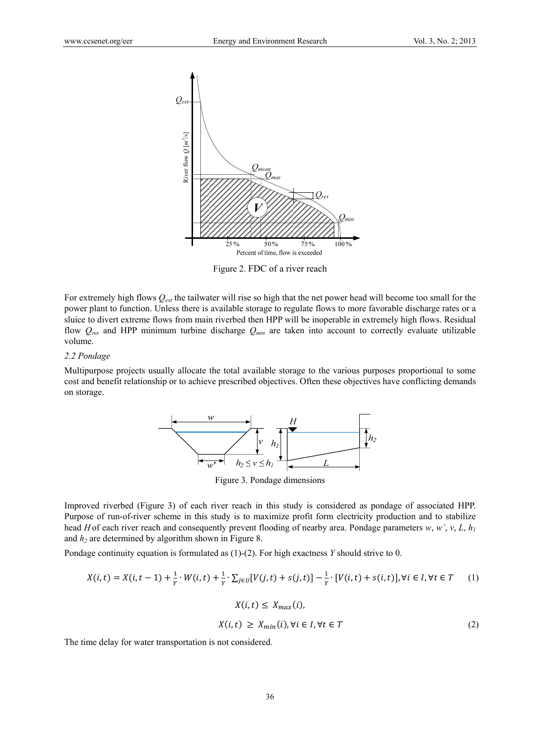

Figure 2. FDC of a river reach

For extremely high flows *Qext* the tailwater will rise so high that the net power head will become too small for the power plant to function. Unless there is available storage to regulate flows to more favorable discharge rates or a sluice to divert extreme flows from main riverbed then HPP will be inoperable in extremely high flows. Residual flow *Qres* and HPP minimum turbine discharge *Qmin* are taken into account to correctly evaluate utilizable volume.

## *2.2 Pondage*

Multipurpose projects usually allocate the total available storage to the various purposes proportional to some cost and benefit relationship or to achieve prescribed objectives. Often these objectives have conflicting demands on storage.



Figure 3. Pondage dimensions

Improved riverbed (Figure 3) of each river reach in this study is considered as pondage of associated HPP. Purpose of run-of-river scheme in this study is to maximize profit form electricity production and to stabilize head *H* of each river reach and consequently prevent flooding of nearby area. Pondage parameters  $w, w', v, L, h_1$ and  $h_2$  are determined by algorithm shown in Figure 8.

Pondage continuity equation is formulated as (1)-(2). For high exactness *Y* should strive to 0.

$$
X(i,t) = X(i,t-1) + \frac{1}{Y} \cdot W(i,t) + \frac{1}{Y} \cdot \sum_{j \in U} [V(j,t) + s(j,t)] - \frac{1}{Y} \cdot [V(i,t) + s(i,t)], \forall i \in I, \forall t \in T
$$

$$
X(i,t) \le X_{max}(i),
$$

$$
X(i,t) \ge X_{min}(i), \forall i \in I, \forall t \in T
$$
 $(2)$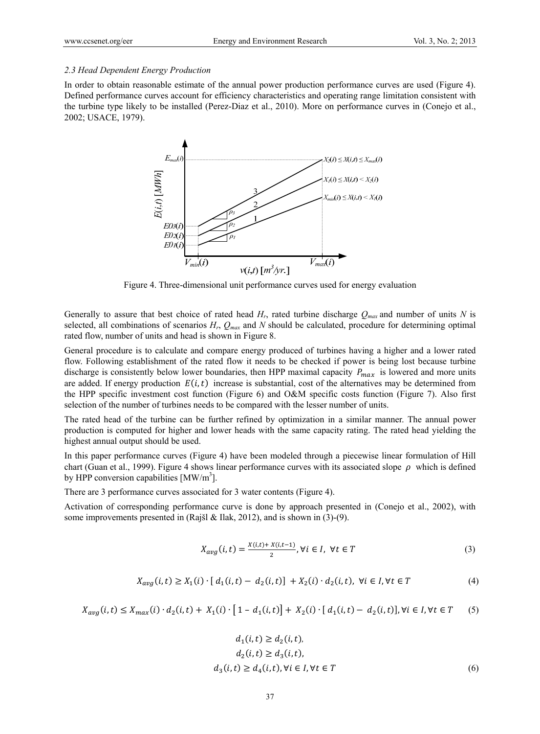## *2.3 Head Dependent Energy Production*

In order to obtain reasonable estimate of the annual power production performance curves are used (Figure 4). Defined performance curves account for efficiency characteristics and operating range limitation consistent with the turbine type likely to be installed (Perez-Diaz et al., 2010). More on performance curves in (Conejo et al., 2002; USACE, 1979).



Figure 4. Three-dimensional unit performance curves used for energy evaluation

Generally to assure that best choice of rated head *Hr*, rated turbine discharge *Qmax* and number of units *N* is selected, all combinations of scenarios  $H_r$ ,  $Q_{max}$  and  $N$  should be calculated, procedure for determining optimal rated flow, number of units and head is shown in Figure 8.

General procedure is to calculate and compare energy produced of turbines having a higher and a lower rated flow. Following establishment of the rated flow it needs to be checked if power is being lost because turbine discharge is consistently below lower boundaries, then HPP maximal capacity  $P_{max}$  is lowered and more units are added. If energy production  $E(i, t)$  increase is substantial, cost of the alternatives may be determined from the HPP specific investment cost function (Figure 6) and O&M specific costs function (Figure 7). Also first selection of the number of turbines needs to be compared with the lesser number of units.

The rated head of the turbine can be further refined by optimization in a similar manner. The annual power production is computed for higher and lower heads with the same capacity rating. The rated head yielding the highest annual output should be used.

In this paper performance curves (Figure 4) have been modeled through a piecewise linear formulation of Hill chart (Guan et al., 1999). Figure 4 shows linear performance curves with its associated slope  $\rho$  which is defined by HPP conversion capabilities  $[MW/m^3]$ .

There are 3 performance curves associated for 3 water contents (Figure 4).

Activation of corresponding performance curve is done by approach presented in (Conejo et al., 2002), with some improvements presented in (Rajšl & Ilak, 2012), and is shown in (3)-(9).

$$
X_{avg}(i,t) = \frac{x(i,t) + x(i,t-1)}{2}, \forall i \in I, \forall t \in T
$$
\n
$$
(3)
$$

$$
X_{avg}(i,t) \ge X_1(i) \cdot [d_1(i,t) - d_2(i,t)] + X_2(i) \cdot d_2(i,t), \ \forall i \in I, \forall t \in T
$$
\n
$$
(4)
$$

$$
X_{avg}(i, t) \le X_{max}(i) \cdot d_2(i, t) + X_1(i) \cdot [1 - d_1(i, t)] + X_2(i) \cdot [d_1(i, t) - d_2(i, t)], \forall i \in I, \forall t \in T
$$
 (5)

$$
d_1(i, t) \ge d_2(i, t),
$$
  
\n
$$
d_2(i, t) \ge d_3(i, t),
$$
  
\n
$$
d_3(i, t) \ge d_4(i, t), \forall i \in I, \forall t \in T
$$
  
\n(6)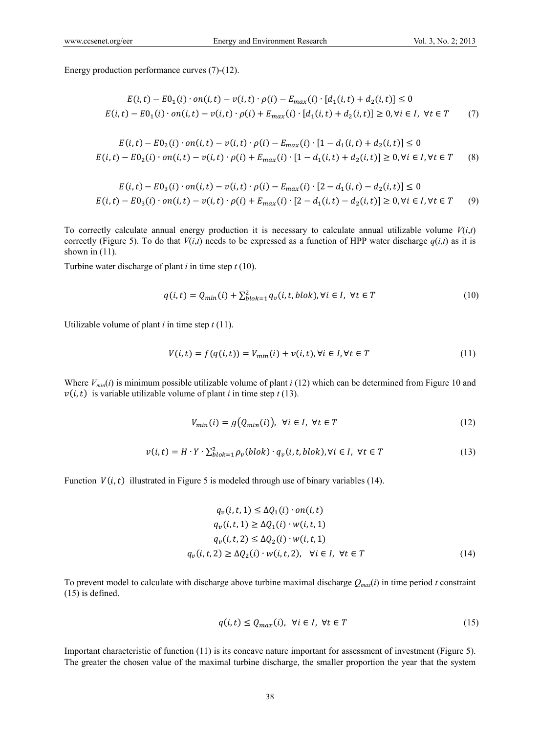Energy production performance curves (7)-(12).

$$
E(i,t) - E0_1(i) \cdot on(i,t) - v(i,t) \cdot \rho(i) - E_{max}(i) \cdot [d_1(i,t) + d_2(i,t)] \le 0
$$
  

$$
E(i,t) - E0_1(i) \cdot on(i,t) - v(i,t) \cdot \rho(i) + E_{max}(i) \cdot [d_1(i,t) + d_2(i,t)] \ge 0, \forall i \in I, \forall t \in T
$$
 (7)

$$
E(i, t) - E0_2(i) \cdot on(i, t) - v(i, t) \cdot \rho(i) - E_{max}(i) \cdot [1 - d_1(i, t) + d_2(i, t)] \le 0
$$
  

$$
E(i, t) - E0_2(i) \cdot on(i, t) - v(i, t) \cdot \rho(i) + E_{max}(i) \cdot [1 - d_1(i, t) + d_2(i, t)] \ge 0, \forall i \in I, \forall t \in T
$$
 (8)

$$
E(i, t) - E0_3(i) \cdot on(i, t) - v(i, t) \cdot \rho(i) - E_{max}(i) \cdot [2 - d_1(i, t) - d_2(i, t)] \le 0
$$
  

$$
E(i, t) - E0_3(i) \cdot on(i, t) - v(i, t) \cdot \rho(i) + E_{max}(i) \cdot [2 - d_1(i, t) - d_2(i, t)] \ge 0, \forall i \in I, \forall t \in T
$$
 (9)

To correctly calculate annual energy production it is necessary to calculate annual utilizable volume  $V(i,t)$ correctly (Figure 5). To do that  $V(i,t)$  needs to be expressed as a function of HPP water discharge  $q(i,t)$  as it is shown in  $(11)$ .

Turbine water discharge of plant *i* in time step *t* (10).

$$
q(i,t) = Q_{min}(i) + \sum_{block=1}^{2} q_{v}(i,t,blok), \forall i \in I, \forall t \in T
$$
\n(10)

Utilizable volume of plant  $i$  in time step  $t(11)$ .

$$
V(i,t) = f(q(i,t)) = V_{min}(i) + v(i,t), \forall i \in I, \forall t \in T
$$
\n
$$
(11)
$$

Where  $V_{min}(i)$  is minimum possible utilizable volume of plant  $i$  (12) which can be determined from Figure 10 and  $v(i, t)$  is variable utilizable volume of plant *i* in time step *t* (13).

$$
V_{min}(i) = g(Q_{min}(i)), \forall i \in I, \forall t \in T
$$
\n(12)

$$
v(i, t) = H \cdot Y \cdot \sum_{b \mid b \mid k = 1}^{2} \rho_v(b \mid b \mid c) \cdot q_v(i, t, \text{block}), \forall i \in I, \forall t \in T
$$
\n
$$
(13)
$$

Function  $V(i, t)$  illustrated in Figure 5 is modeled through use of binary variables (14).

$$
q_v(i, t, 1) \leq \Delta Q_1(i) \cdot on(i, t)
$$
  
\n
$$
q_v(i, t, 1) \geq \Delta Q_1(i) \cdot w(i, t, 1)
$$
  
\n
$$
q_v(i, t, 2) \leq \Delta Q_2(i) \cdot w(i, t, 1)
$$
  
\n
$$
q_v(i, t, 2) \geq \Delta Q_2(i) \cdot w(i, t, 2), \quad \forall i \in I, \forall t \in T
$$
\n(14)

To prevent model to calculate with discharge above turbine maximal discharge  $Q_{max}(i)$  in time period *t* constraint (15) is defined.

$$
q(i, t) \le Q_{max}(i), \ \forall i \in I, \ \forall t \in T
$$
\n
$$
(15)
$$

Important characteristic of function (11) is its concave nature important for assessment of investment (Figure 5). The greater the chosen value of the maximal turbine discharge, the smaller proportion the year that the system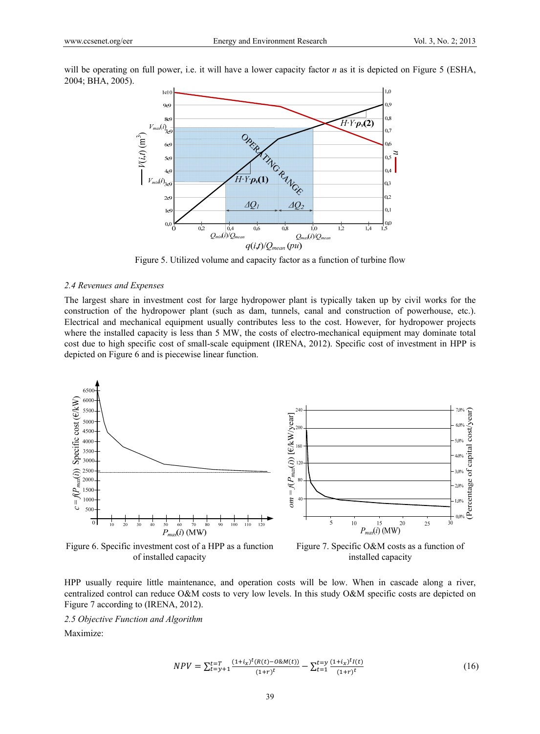will be operating on full power, i.e. it will have a lower capacity factor *n* as it is depicted on Figure 5 (ESHA, 2004; BHA, 2005).



Figure 5. Utilized volume and capacity factor as a function of turbine flow

#### *2.4 Revenues and Expenses*

The largest share in investment cost for large hydropower plant is typically taken up by civil works for the construction of the hydropower plant (such as dam, tunnels, canal and construction of powerhouse, etc.). Electrical and mechanical equipment usually contributes less to the cost. However, for hydropower projects where the installed capacity is less than 5 MW, the costs of electro-mechanical equipment may dominate total cost due to high specific cost of small-scale equipment (IRENA, 2012). Specific cost of investment in HPP is depicted on Figure 6 and is piecewise linear function.



Figure 6. Specific investment cost of a HPP as a function of installed capacity



Figure 7. Specific O&M costs as a function of installed capacity

HPP usually require little maintenance, and operation costs will be low. When in cascade along a river, centralized control can reduce O&M costs to very low levels. In this study O&M specific costs are depicted on Figure 7 according to (IRENA, 2012).

*2.5 Objective Function and Algorithm* 

Maximize:

$$
NPV = \sum_{t=y+1}^{t=T} \frac{(1+i_{x})^{t} (R(t)-0 \& M(t))}{(1+r)^{t}} - \sum_{t=1}^{t=y} \frac{(1+i_{x})^{t} I(t)}{(1+r)^{t}}
$$
(16)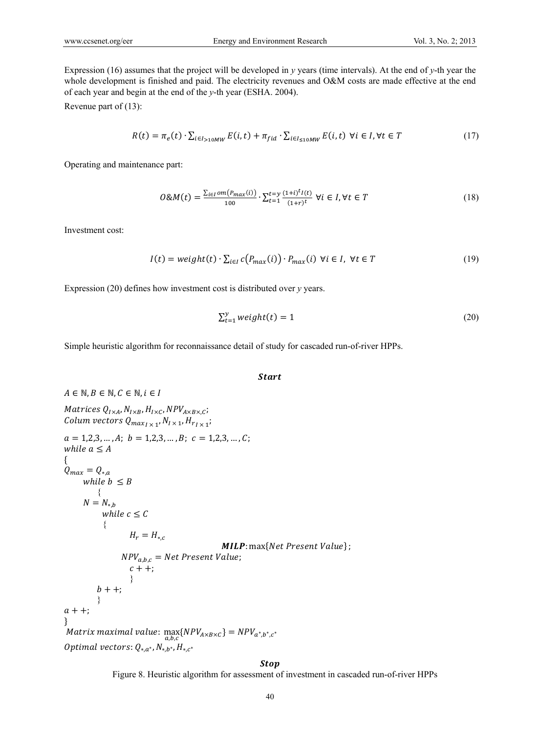Expression (16) assumes that the project will be developed in *y* years (time intervals). At the end of *y*-th year the whole development is finished and paid. The electricity revenues and O&M costs are made effective at the end of each year and begin at the end of the *y*-th year (ESHA. 2004).

Revenue part of (13):

$$
R(t) = \pi_e(t) \cdot \sum_{i \in I_{>10MW}} E(i, t) + \pi_{fid} \cdot \sum_{i \in I_{\le 10MW}} E(i, t) \ \forall i \in I, \forall t \in T
$$
 (17)

Operating and maintenance part:

$$
O\&M(t) = \frac{\sum_{i \in I} om(P_{max}(i))}{100} \cdot \sum_{t=1}^{t=y} \frac{(1+i)^{t}I(t)}{(1+r)^{t}} \ \forall i \in I, \forall t \in T
$$
\n(18)

Investment cost:

$$
I(t) = weight(t) \cdot \sum_{i \in I} c(P_{max}(i)) \cdot P_{max}(i) \ \forall i \in I, \ \forall t \in T
$$
\n
$$
(19)
$$

Expression (20) defines how investment cost is distributed over *y* years.

$$
\sum_{t=1}^{y} weight(t) = 1
$$
 (20)

Simple heuristic algorithm for reconnaissance detail of study for cascaded run-of-river HPPs.

## **Start**

$$
A \in \mathbb{N}, B \in \mathbb{N}, C \in \mathbb{N}, i \in I
$$
  
\nMatrices  $Q_{I \times A}, N_{I \times B}, H_{I \times C}, NPV_{A \times B \times C};$   
\nColumn vectors  $Q_{max_{I \times 1}, N_{I \times 1}, H_{T_{I \times 1}}}$   
\n $a = 1, 2, 3, ..., A; b = 1, 2, 3, ..., B; c = 1, 2, 3, ..., C;$   
\nwhile  $a \le A$   
\n{  
\n $Q_{max} = Q_{*,a}$   
\nwhile  $b \le B$   
\n{  
\n $N = N_{*,b}$   
\nwhile  $c \le C$   
\n{  
\n $H_r = H_{*,c}$   
\n $MLP: max\{Net Present Value\};$   
\n $c + +;$   
\n $b + +;$   
\n $a + +;$   
\n}

**Stop** 

Figure 8. Heuristic algorithm for assessment of investment in cascaded run-of-river HPPs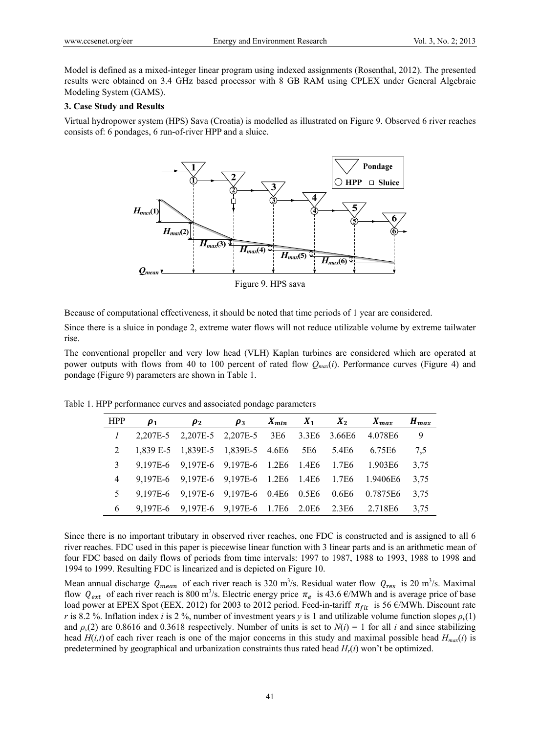Model is defined as a mixed-integer linear program using indexed assignments (Rosenthal, 2012). The presented results were obtained on 3.4 GHz based processor with 8 GB RAM using CPLEX under General Algebraic Modeling System (GAMS).

# **3. Case Study and Results**

Virtual hydropower system (HPS) Sava (Croatia) is modelled as illustrated on Figure 9. Observed 6 river reaches consists of: 6 pondages, 6 run-of-river HPP and a sluice.



Figure 9. HPS sava

Because of computational effectiveness, it should be noted that time periods of 1 year are considered.

Since there is a sluice in pondage 2, extreme water flows will not reduce utilizable volume by extreme tailwater rise.

The conventional propeller and very low head (VLH) Kaplan turbines are considered which are operated at power outputs with flows from 40 to 100 percent of rated flow  $Q_{max}(i)$ . Performance curves (Figure 4) and pondage (Figure 9) parameters are shown in Table 1.

Table 1. HPP performance curves and associated pondage parameters

| <b>HPP</b> | $\rho_1$                                                   | $\rho_2$ | $\rho_3$ |  | $X_{min}$ $X_1$ $X_2$ | $X_{max}$ | $H_{max}$ |
|------------|------------------------------------------------------------|----------|----------|--|-----------------------|-----------|-----------|
|            | 1 2,207E-5 2,207E-5 2,207E-5 3E6 3.3E6 3.66E6 4.078E6      |          |          |  |                       |           | - 9       |
|            | 2 1,839 E-5 1,839 E-5 1,839 E-5 4.6 E6 5 E6 5.4 E6 6.75 E6 |          |          |  |                       |           | 7.5       |
| 3          | 9,197E-6 9,197E-6 9,197E-6 1.2E6 1.4E6 1.7E6 1.903E6       |          |          |  |                       |           | 3.75      |
|            | 4 9,197E-6 9,197E-6 9,197E-6 1.2E6 1.4E6 1.7E6 1.9406E6    |          |          |  |                       |           | 3,75      |
|            | 5 9,197E-6 9,197E-6 9,197E-6 0.4E6 0.5E6 0.6E6 0.7875E6    |          |          |  |                       |           | 3,75      |
|            | 6 9,197E-6 9,197E-6 9,197E-6 1.7E6 2.0E6 2.3E6 2.718E6     |          |          |  |                       |           | 3.75      |

Since there is no important tributary in observed river reaches, one FDC is constructed and is assigned to all 6 river reaches. FDC used in this paper is piecewise linear function with 3 linear parts and is an arithmetic mean of four FDC based on daily flows of periods from time intervals: 1997 to 1987, 1988 to 1993, 1988 to 1998 and 1994 to 1999. Resulting FDC is linearized and is depicted on Figure 10.

Mean annual discharge  $Q_{mean}$  of each river reach is 320 m<sup>3</sup>/s. Residual water flow  $Q_{res}$  is 20 m<sup>3</sup>/s. Maximal flow  $Q_{ext}$  of each river reach is 800 m<sup>3</sup>/s. Electric energy price  $\pi_e$  is 43.6  $\epsilon$ /MWh and is average price of base load power at EPEX Spot (EEX, 2012) for 2003 to 2012 period. Feed-in-tariff  $\pi_{fit}$  is 56  $\epsilon$ /MWh. Discount rate *r* is 8.2 %. Inflation index *i* is 2 %, number of investment years *y* is 1 and utilizable volume function slopes  $\rho$ <sub>*v*</sub>(1) and  $\rho_v(2)$  are 0.8616 and 0.3618 respectively. Number of units is set to  $N(i) = 1$  for all *i* and since stabilizing head  $H(i, t)$  of each river reach is one of the major concerns in this study and maximal possible head  $H_{max}(i)$  is predetermined by geographical and urbanization constraints thus rated head *Hr*(*i*) won't be optimized.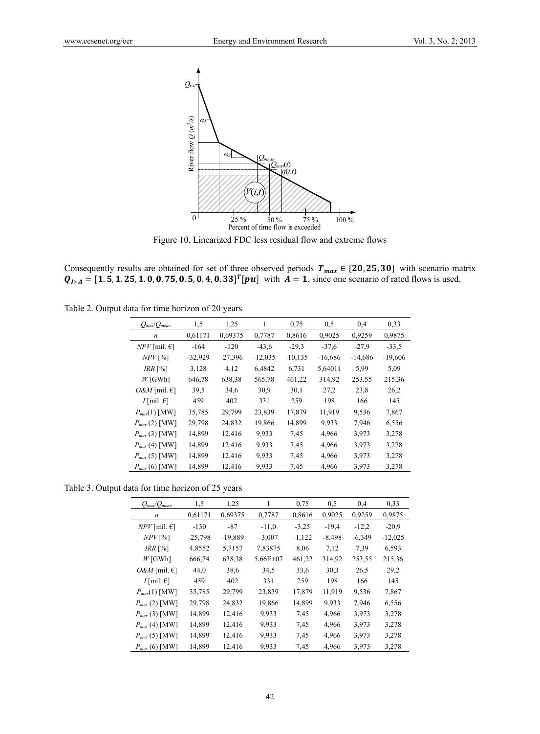

Figure 10. Linearized FDC less residual flow and extreme flows

Consequently results are obtained for set of three observed periods  $T_{max} \in \{20, 25, 30\}$  with scenario matrix  $Q_{I \times A} = [1.5, 1.25, 1.0, 0.75, 0.5, 0.4, 0.33]^T [pu]$  with  $A = 1$ , since one scenario of rated flows is used.

Table 2. Output data for time horizon of 20 years

|                                                                                                                                                                                                                      | River flow<br>$\overline{0}$<br>Figure 10. Linearized FDC less residual flow and extreme flows | $a_2$<br>25% | $\underbrace{Q_{mean}(i)}_{q(i,t)}$<br>V(i,t)<br>50 %<br>Percent of time flow is exceeded | 75 %      | 100 %     |           |           |
|----------------------------------------------------------------------------------------------------------------------------------------------------------------------------------------------------------------------|------------------------------------------------------------------------------------------------|--------------|-------------------------------------------------------------------------------------------|-----------|-----------|-----------|-----------|
| Consequently results are obtained for set of three observed periods $T_{max} \in \{20, 25, 30\}$ with<br>$Q_{I \times A} = [1.5, 1.25, 1.0, 0.75, 0.5, 0.4, 0.33]^T [pu]$ with $A = 1$ , since one scenario of rated |                                                                                                |              |                                                                                           |           |           |           |           |
| Table 2. Output data for time horizon of 20 years                                                                                                                                                                    |                                                                                                |              |                                                                                           |           |           |           |           |
| $Q_{max}/Q_{mean}$                                                                                                                                                                                                   | 1,5                                                                                            | 1,25         | $\mathbf{1}$                                                                              | 0,75      | 0,5       | 0,4       | 0,33      |
| $\boldsymbol{n}$                                                                                                                                                                                                     | 0,61171                                                                                        | 0,69375      | 0,7787                                                                                    | 0,8616    | 0,9025    | 0,9259    | 0,9875    |
| $NPV$ [mil. $\in$ ]                                                                                                                                                                                                  | $-164$                                                                                         | $-120$       | $-43,6$                                                                                   | $-29,3$   | $-37,6$   | $-27,9$   | $-33,5$   |
| $NPV$ [%]                                                                                                                                                                                                            | $-32,929$                                                                                      | $-27,396$    | $-12,035$                                                                                 | $-10,135$ | $-16,686$ | $-14,686$ | $-19,606$ |
| IRR [%]                                                                                                                                                                                                              | 3,128                                                                                          | 4,12         | 6,4842                                                                                    | 6,731     | 5,64011   | 5,99      | 5,09      |
| $W$ [GWh]                                                                                                                                                                                                            | 646,78                                                                                         | 638,38       | 565,78                                                                                    | 461,22    | 314,92    | 253,55    | 215,36    |
| $O\&M$ [mil. $\epsilon$ ]                                                                                                                                                                                            | 39,5                                                                                           | 34,6         | 30,9                                                                                      | 30,1      | 27,2      | 23,8      | 26,2      |
| $I$ [mil. $\epsilon$ ]                                                                                                                                                                                               | 459                                                                                            | 402          | 331                                                                                       | 259       | 198       | 166       | 145       |
| $P_{max}(1)$ [MW]                                                                                                                                                                                                    | 35,785                                                                                         | 29,799       | 23,839                                                                                    | 17,879    | 11,919    | 9,536     | 7,867     |
| $P_{max}$ (2) [MW]                                                                                                                                                                                                   | 29,798                                                                                         | 24,832       | 19,866                                                                                    | 14,899    | 9,933     | 7,946     | 6,556     |
| $P_{max}(3)$ [MW]                                                                                                                                                                                                    | 14,899                                                                                         | 12,416       | 9,933                                                                                     | 7,45      | 4,966     | 3,973     | 3,278     |
| $P_{max}(4)$ [MW]                                                                                                                                                                                                    | 14,899                                                                                         | 12,416       | 9,933                                                                                     | 7,45      | 4,966     | 3,973     | 3,278     |
| $P_{max}(5)$ [MW]                                                                                                                                                                                                    | 14,899                                                                                         | 12,416       | 9,933                                                                                     | 7,45      | 4,966     | 3,973     | 3,278     |
| $P_{max}(6)$ [MW]                                                                                                                                                                                                    | 14,899                                                                                         | 12,416       | 9,933                                                                                     | 7,45      | 4,966     | 3,973     | 3,278     |
| Table 3. Output data for time horizon of 25 years                                                                                                                                                                    |                                                                                                |              |                                                                                           |           |           |           |           |
| $Q$ max $\mathcal{Q}$ mean                                                                                                                                                                                           | 1,5                                                                                            | 1,25         | 1                                                                                         | 0,75      | 0,5       | 0,4       | 0,33      |
| $\boldsymbol{n}$                                                                                                                                                                                                     | 0,61171                                                                                        | 0,69375      | 0,7787                                                                                    | 0,8616    | 0,9025    | 0,9259    | 0,9875    |
| $NPV$ [mil. $\in$ ]                                                                                                                                                                                                  | $-130$                                                                                         | $-87$        | $-11,0$                                                                                   | $-3,25$   | $-19,4$   | $-12,2$   | $-20,9$   |
| $NPV$ [%]                                                                                                                                                                                                            | $-25,798$                                                                                      | $-19,889$    | $-3,007$                                                                                  | $-1,122$  | $-8,498$  | $-6,349$  | $-12,025$ |
| IRR [%]                                                                                                                                                                                                              | 4,8552                                                                                         | 5,7157       | 7,83875                                                                                   | 8,06      | 7,12      | 7,39      | 6,593     |
| $W$ [GWh]                                                                                                                                                                                                            | 666,74                                                                                         | 638,38       | $5,66E+07$                                                                                | 461,22    | 314,92    | 253,55    | 215,36    |
| O&M [mil. $\in$ ]                                                                                                                                                                                                    | 44,0                                                                                           | 38,6         | 34,5                                                                                      | 33,6      | 30,3      | 26,5      | 29,2      |
| $I$ [mil. $\epsilon$ ]                                                                                                                                                                                               | 459                                                                                            | 402          | 331                                                                                       | 259       | 198       | 166       | 145       |
| $P_{max}(1)$ [MW]                                                                                                                                                                                                    | 35,785                                                                                         | 29,799       | 23,839                                                                                    | 17,879    | 11,919    | 9,536     | 7,867     |
| $P_{max}(2)$ [MW]                                                                                                                                                                                                    | 29,798                                                                                         | 24,832       | 19,866                                                                                    | 14,899    | 9,933     | 7,946     | 6,556     |
| $P_{max}(3)$ [MW]                                                                                                                                                                                                    | 14,899                                                                                         | 12,416       | 9,933                                                                                     | 7,45      | 4,966     | 3,973     | 3,278     |
| $P_{max}(4)$ [MW]                                                                                                                                                                                                    | 14,899                                                                                         | 12,416       | 9,933                                                                                     | 7,45      | 4,966     | 3,973     | 3,278     |
| $P_{max}(5)$ [MW]                                                                                                                                                                                                    | 14,899                                                                                         | 12,416       | 9,933                                                                                     | 7,45      | 4,966     | 3,973     | 3,278     |
| $P_{max}(6)$ [MW]                                                                                                                                                                                                    | 14,899                                                                                         | 12,416       | 9,933                                                                                     | 7,45      | 4,966     | 3,973     | 3,278     |
|                                                                                                                                                                                                                      |                                                                                                |              |                                                                                           |           |           |           |           |

Table 3. Output data for time horizon of 25 years

| $Q_{\mathit{max}}/Q_{\mathit{mean}}$ | 1,5       | 1,25      | 1          | 0.75     | 0,5      | 0,4      | 0.33      |
|--------------------------------------|-----------|-----------|------------|----------|----------|----------|-----------|
| $\boldsymbol{n}$                     | 0,61171   | 0,69375   | 0,7787     | 0,8616   | 0.9025   | 0,9259   | 0,9875    |
| $NPV$ [mil. $\in$ ]                  | $-130$    | $-87$     | $-11,0$    | $-3,25$  | $-19.4$  | $-12,2$  | $-20.9$   |
| $NPV$ [%]                            | $-25,798$ | $-19,889$ | $-3,007$   | $-1,122$ | $-8,498$ | $-6,349$ | $-12,025$ |
| $IRR \, [%]$                         | 4,8552    | 5,7157    | 7,83875    | 8,06     | 7,12     | 7.39     | 6,593     |
| $W$ [GWh]                            | 666,74    | 638,38    | $5,66E+07$ | 461,22   | 314,92   | 253,55   | 215,36    |
| $O\&M$ [mil. $\epsilon$ ]            | 44,0      | 38,6      | 34,5       | 33,6     | 30,3     | 26.5     | 29,2      |
| $I$ [mil. $\epsilon$ ]               | 459       | 402       | 331        | 259      | 198      | 166      | 145       |
| $P_{max}(1)$ [MW]                    | 35,785    | 29,799    | 23,839     | 17,879   | 11,919   | 9,536    | 7,867     |
| $P_{max}(2)$ [MW]                    | 29,798    | 24,832    | 19,866     | 14,899   | 9.933    | 7,946    | 6,556     |
| $P_{max}(3)$ [MW]                    | 14,899    | 12,416    | 9,933      | 7.45     | 4,966    | 3,973    | 3,278     |
| $P_{max}(4)$ [MW]                    | 14,899    | 12,416    | 9,933      | 7.45     | 4,966    | 3,973    | 3,278     |
| $P_{max}(5)$ [MW]                    | 14,899    | 12,416    | 9,933      | 7.45     | 4,966    | 3,973    | 3,278     |
| $P_{max}(6)$ [MW]                    | 14,899    | 12,416    | 9,933      | 7.45     | 4,966    | 3,973    | 3,278     |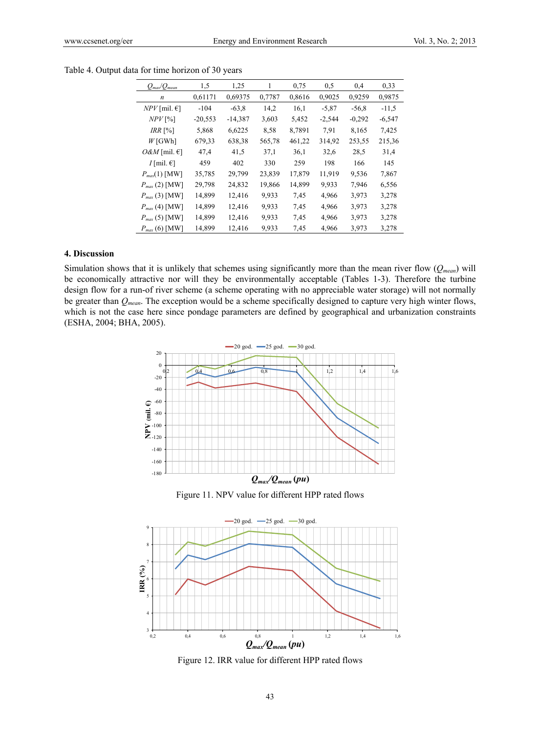| $Q_{\textit{max}}\!/Q_{\textit{mean}}$ | 1,5       | 1,25      | 1      | 0.75   | 0,5      | 0,4      | 0,33     |
|----------------------------------------|-----------|-----------|--------|--------|----------|----------|----------|
| $\boldsymbol{n}$                       | 0,61171   | 0,69375   | 0,7787 | 0,8616 | 0.9025   | 0.9259   | 0.9875   |
| $NPV$ [mil. $\in$ ]                    | $-104$    | $-63.8$   | 14,2   | 16,1   | $-5,87$  | $-56.8$  | $-11,5$  |
| $NPV$ [%]                              | $-20,553$ | $-14,387$ | 3,603  | 5,452  | $-2,544$ | $-0.292$ | $-6,547$ |
| $IRR \, [%]$                           | 5,868     | 6,6225    | 8.58   | 8,7891 | 7.91     | 8,165    | 7,425    |
| $W$ [GWh]                              | 679,33    | 638,38    | 565,78 | 461,22 | 314,92   | 253,55   | 215,36   |
| $O\&M$ [mil. $\epsilon$ ]              | 47,4      | 41,5      | 37,1   | 36,1   | 32,6     | 28,5     | 31,4     |
| $I$ [mil. $\epsilon$ ]                 | 459       | 402       | 330    | 259    | 198      | 166      | 145      |
| $P_{max}(1)$ [MW]                      | 35,785    | 29,799    | 23,839 | 17,879 | 11,919   | 9,536    | 7,867    |
| $P_{max}(2)$ [MW]                      | 29,798    | 24,832    | 19,866 | 14,899 | 9,933    | 7,946    | 6,556    |
| $P_{max}(3)$ [MW]                      | 14,899    | 12,416    | 9,933  | 7.45   | 4,966    | 3,973    | 3,278    |
| $P_{max}(4)$ [MW]                      | 14,899    | 12,416    | 9,933  | 7.45   | 4,966    | 3,973    | 3,278    |
| $P_{max}(5)$ [MW]                      | 14,899    | 12,416    | 9,933  | 7.45   | 4,966    | 3,973    | 3,278    |
| $P_{max}(6)$ [MW]                      | 14,899    | 12,416    | 9,933  | 7.45   | 4,966    | 3,973    | 3,278    |

Table 4. Output data for time horizon of 30 years

### **4. Discussion**

Simulation shows that it is unlikely that schemes using significantly more than the mean river flow (*Qmean*) will be economically attractive nor will they be environmentally acceptable (Tables 1-3). Therefore the turbine design flow for a run-of river scheme (a scheme operating with no appreciable water storage) will not normally be greater than *Qmean*. The exception would be a scheme specifically designed to capture very high winter flows, which is not the case here since pondage parameters are defined by geographical and urbanization constraints (ESHA, 2004; BHA, 2005).



Figure 11. NPV value for different HPP rated flows



Figure 12. IRR value for different HPP rated flows